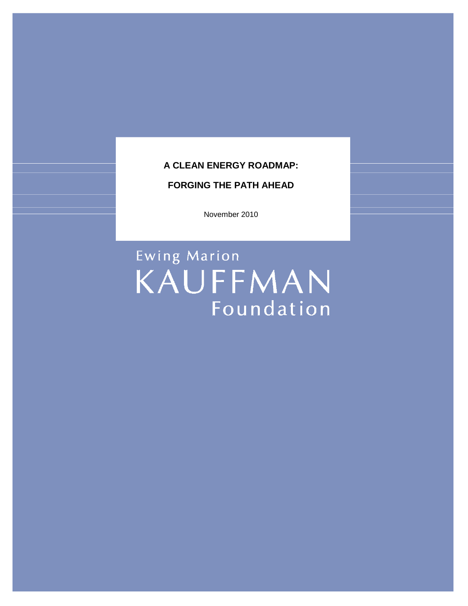# **A CLEAN ENERGY ROADMAP:**

## **FORGING THE PATH AHEAD**

November 2010

Ewing Marion KAUFFMAN Foundation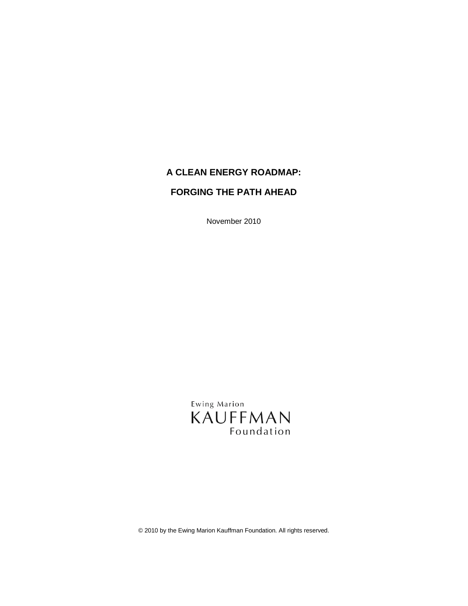# **A CLEAN ENERGY ROADMAP:**

# **FORGING THE PATH AHEAD**

November 2010

Ewing Marion KAUFFMAN Foundation

© 2010 by the Ewing Marion Kauffman Foundation. All rights reserved.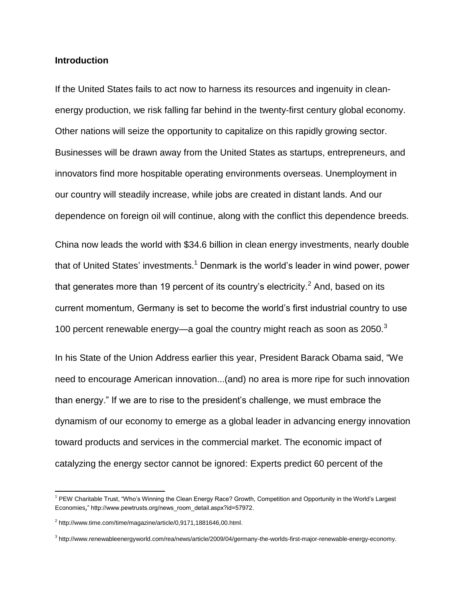### **Introduction**

If the United States fails to act now to harness its resources and ingenuity in cleanenergy production, we risk falling far behind in the twenty-first century global economy. Other nations will seize the opportunity to capitalize on this rapidly growing sector. Businesses will be drawn away from the United States as startups, entrepreneurs, and innovators find more hospitable operating environments overseas. Unemployment in our country will steadily increase, while jobs are created in distant lands. And our dependence on foreign oil will continue, along with the conflict this dependence breeds.

China now leads the world with \$34.6 billion in clean energy investments, nearly double that of United States' investments.<sup>1</sup> Denmark is the world's leader in wind power, power that generates more than 19 percent of its country's electricity.<sup>2</sup> And, based on its current momentum, Germany is set to become the world's first industrial country to use 100 percent renewable energy—a goal the country might reach as soon as  $2050<sup>3</sup>$ 

In his State of the Union Address earlier this year, President Barack Obama said, "We need to encourage American innovation...(and) no area is more ripe for such innovation than energy." If we are to rise to the president's challenge, we must embrace the dynamism of our economy to emerge as a global leader in advancing energy innovation toward products and services in the commercial market. The economic impact of catalyzing the energy sector cannot be ignored: Experts predict 60 percent of the

<sup>&</sup>lt;sup>1</sup> PEW Charitable Trust, "Who's Winning the Clean Energy Race? Growth, Competition and Opportunity in the World's Largest [Economies](http://www.pewtrusts.org/uploadedFiles/wwwpewtrustsorg/Reports/Global_warming/G-20%20Report.pdf)," http://www.pewtrusts.org/news\_room\_detail.aspx?id=57972.

 $2$  http://www.time.com/time/magazine/article/0,9171,1881646,00.html.

<sup>3</sup> http://www.renewableenergyworld.com/rea/news/article/2009/04/germany-the-worlds-first-major-renewable-energy-economy.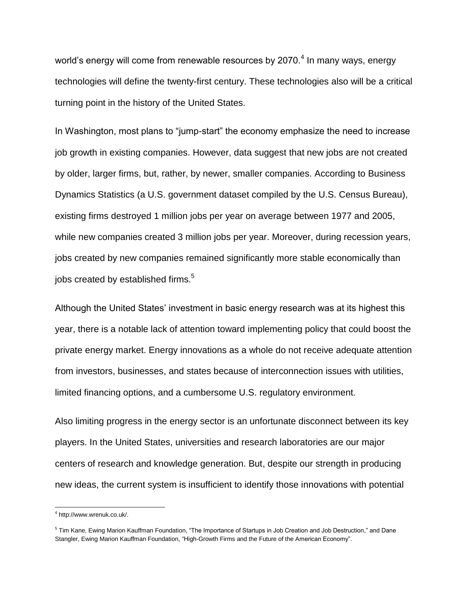world's energy will come from renewable resources by 2070.<sup>4</sup> In many ways, energy technologies will define the twenty-first century. These technologies also will be a critical turning point in the history of the United States.

In Washington, most plans to "jump-start" the economy emphasize the need to increase job growth in existing companies. However, data suggest that new jobs are not created by older, larger firms, but, rather, by newer, smaller companies. According to Business Dynamics Statistics (a U.S. government dataset compiled by the U.S. Census Bureau), existing firms destroyed 1 million jobs per year on average between 1977 and 2005, while new companies created 3 million jobs per year. Moreover, during recession years, jobs created by new companies remained significantly more stable economically than jobs created by established firms. $5$ 

Although the United States' investment in basic energy research was at its highest this year, there is a notable lack of attention toward implementing policy that could boost the private energy market. Energy innovations as a whole do not receive adequate attention from investors, businesses, and states because of interconnection issues with utilities, limited financing options, and a cumbersome U.S. regulatory environment.

Also limiting progress in the energy sector is an unfortunate disconnect between its key players. In the United States, universities and research laboratories are our major centers of research and knowledge generation. But, despite our strength in producing new ideas, the current system is insufficient to identify those innovations with potential

l

<sup>4</sup> http://www.wrenuk.co.uk/.

<sup>&</sup>lt;sup>5</sup> Tim Kane, Ewing Marion Kauffman Foundation, "The Importance of Startups in Job Creation and Job Destruction," and Dane Stangler, Ewing Marion Kauffman Foundation, "High-Growth Firms and the Future of the American Economy".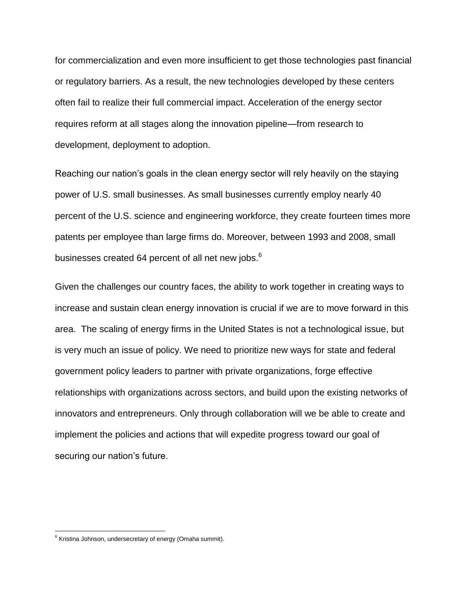for commercialization and even more insufficient to get those technologies past financial or regulatory barriers. As a result, the new technologies developed by these centers often fail to realize their full commercial impact. Acceleration of the energy sector requires reform at all stages along the innovation pipeline—from research to development, deployment to adoption.

Reaching our nation's goals in the clean energy sector will rely heavily on the staying power of U.S. small businesses. As small businesses currently employ nearly 40 percent of the U.S. science and engineering workforce, they create fourteen times more patents per employee than large firms do. Moreover, between 1993 and 2008, small businesses created 64 percent of all net new jobs.<sup>6</sup>

Given the challenges our country faces, the ability to work together in creating ways to increase and sustain clean energy innovation is crucial if we are to move forward in this area. The scaling of energy firms in the United States is not a technological issue, but is very much an issue of policy. We need to prioritize new ways for state and federal government policy leaders to partner with private organizations, forge effective relationships with organizations across sectors, and build upon the existing networks of innovators and entrepreneurs. Only through collaboration will we be able to create and implement the policies and actions that will expedite progress toward our goal of securing our nation's future.

 6 Kristina Johnson, undersecretary of energy (Omaha summit).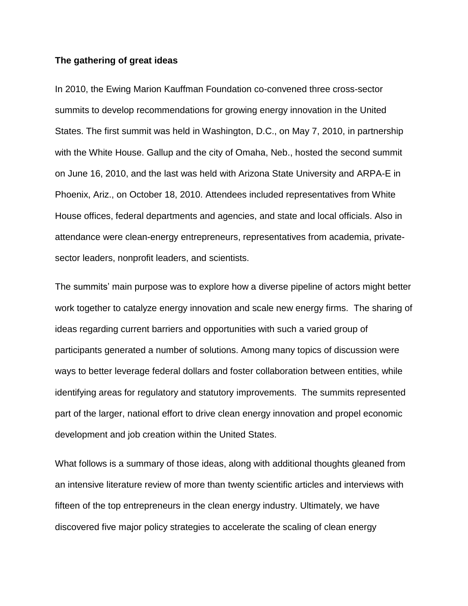#### **The gathering of great ideas**

In 2010, the Ewing Marion Kauffman Foundation co-convened three cross-sector summits to develop recommendations for growing energy innovation in the United States. The first summit was held in Washington, D.C., on May 7, 2010, in partnership with the White House. Gallup and the city of Omaha, Neb., hosted the second summit on June 16, 2010, and the last was held with Arizona State University and ARPA-E in Phoenix, Ariz., on October 18, 2010. Attendees included representatives from White House offices, federal departments and agencies, and state and local officials. Also in attendance were clean-energy entrepreneurs, representatives from academia, privatesector leaders, nonprofit leaders, and scientists.

The summits' main purpose was to explore how a diverse pipeline of actors might better work together to catalyze energy innovation and scale new energy firms. The sharing of ideas regarding current barriers and opportunities with such a varied group of participants generated a number of solutions. Among many topics of discussion were ways to better leverage federal dollars and foster collaboration between entities, while identifying areas for regulatory and statutory improvements. The summits represented part of the larger, national effort to drive clean energy innovation and propel economic development and job creation within the United States.

What follows is a summary of those ideas, along with additional thoughts gleaned from an intensive literature review of more than twenty scientific articles and interviews with fifteen of the top entrepreneurs in the clean energy industry. Ultimately, we have discovered five major policy strategies to accelerate the scaling of clean energy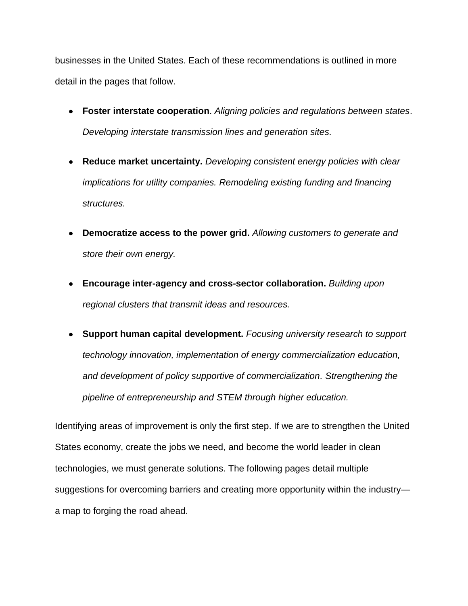businesses in the United States. Each of these recommendations is outlined in more detail in the pages that follow.

- **Foster interstate cooperation**. *Aligning policies and regulations between states*. *Developing interstate transmission lines and generation sites.*
- **Reduce market uncertainty.** *Developing consistent energy policies with clear implications for utility companies. Remodeling existing funding and financing structures.*
- **Democratize access to the power grid.** *Allowing customers to generate and store their own energy.*
- **Encourage inter-agency and cross-sector collaboration.** *Building upon regional clusters that transmit ideas and resources.*
- **Support human capital development.** *Focusing university research to support technology innovation, implementation of energy commercialization education, and development of policy supportive of commercialization. Strengthening the pipeline of entrepreneurship and STEM through higher education.*

Identifying areas of improvement is only the first step. If we are to strengthen the United States economy, create the jobs we need, and become the world leader in clean technologies, we must generate solutions. The following pages detail multiple suggestions for overcoming barriers and creating more opportunity within the industry a map to forging the road ahead.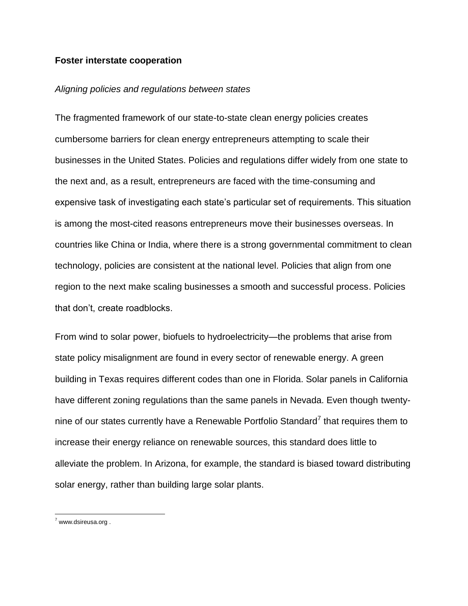#### **Foster interstate cooperation**

#### *Aligning policies and regulations between states*

The fragmented framework of our state-to-state clean energy policies creates cumbersome barriers for clean energy entrepreneurs attempting to scale their businesses in the United States. Policies and regulations differ widely from one state to the next and, as a result, entrepreneurs are faced with the time-consuming and expensive task of investigating each state's particular set of requirements. This situation is among the most-cited reasons entrepreneurs move their businesses overseas. In countries like China or India, where there is a strong governmental commitment to clean technology, policies are consistent at the national level. Policies that align from one region to the next make scaling businesses a smooth and successful process. Policies that don't, create roadblocks.

From wind to solar power, biofuels to hydroelectricity—the problems that arise from state policy misalignment are found in every sector of renewable energy. A green building in Texas requires different codes than one in Florida. Solar panels in California have different zoning regulations than the same panels in Nevada. Even though twentynine of our states currently have a Renewable Portfolio Standard<sup>7</sup> that requires them to increase their energy reliance on renewable sources, this standard does little to alleviate the problem. In Arizona, for example, the standard is biased toward distributing solar energy, rather than building large solar plants.

<sup>&</sup>lt;sup>7</sup> www.dsireusa.org .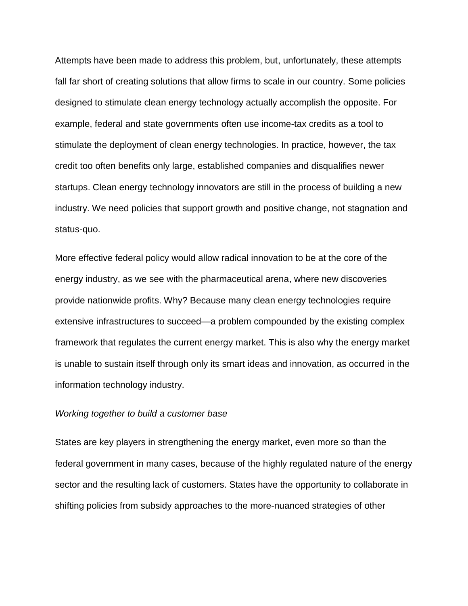Attempts have been made to address this problem, but, unfortunately, these attempts fall far short of creating solutions that allow firms to scale in our country. Some policies designed to stimulate clean energy technology actually accomplish the opposite. For example, federal and state governments often use income-tax credits as a tool to stimulate the deployment of clean energy technologies. In practice, however, the tax credit too often benefits only large, established companies and disqualifies newer startups. Clean energy technology innovators are still in the process of building a new industry. We need policies that support growth and positive change, not stagnation and status-quo.

More effective federal policy would allow radical innovation to be at the core of the energy industry, as we see with the pharmaceutical arena, where new discoveries provide nationwide profits. Why? Because many clean energy technologies require extensive infrastructures to succeed—a problem compounded by the existing complex framework that regulates the current energy market. This is also why the energy market is unable to sustain itself through only its smart ideas and innovation, as occurred in the information technology industry.

### *Working together to build a customer base*

States are key players in strengthening the energy market, even more so than the federal government in many cases, because of the highly regulated nature of the energy sector and the resulting lack of customers. States have the opportunity to collaborate in shifting policies from subsidy approaches to the more-nuanced strategies of other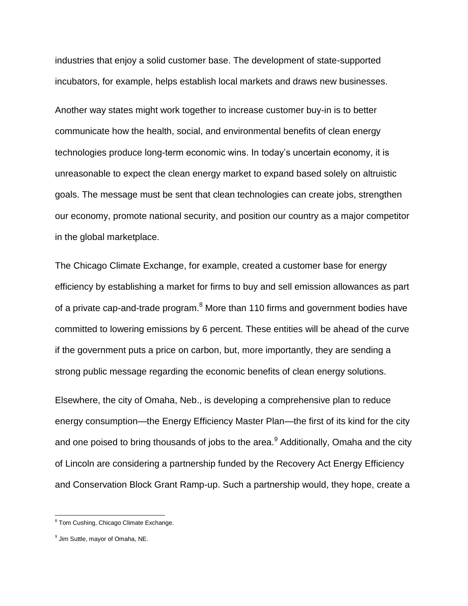industries that enjoy a solid customer base. The development of state-supported incubators, for example, helps establish local markets and draws new businesses.

Another way states might work together to increase customer buy-in is to better communicate how the health, social, and environmental benefits of clean energy technologies produce long-term economic wins. In today's uncertain economy, it is unreasonable to expect the clean energy market to expand based solely on altruistic goals. The message must be sent that clean technologies can create jobs, strengthen our economy, promote national security, and position our country as a major competitor in the global marketplace.

The Chicago Climate Exchange, for example, created a customer base for energy efficiency by establishing a market for firms to buy and sell emission allowances as part of a private cap-and-trade program. $8$  More than 110 firms and government bodies have committed to lowering emissions by 6 percent. These entities will be ahead of the curve if the government puts a price on carbon, but, more importantly, they are sending a strong public message regarding the economic benefits of clean energy solutions.

Elsewhere, the city of Omaha, Neb., is developing a comprehensive plan to reduce energy consumption—the Energy Efficiency Master Plan—the first of its kind for the city and one poised to bring thousands of jobs to the area. $^9$  Additionally, Omaha and the city of Lincoln are considering a partnership funded by the Recovery Act Energy Efficiency and Conservation Block Grant Ramp-up. Such a partnership would, they hope, create a

enties<br><sup>8</sup> Tom Cushing, Chicago Climate Exchange.

<sup>&</sup>lt;sup>9</sup> Jim Suttle, mayor of Omaha, NE.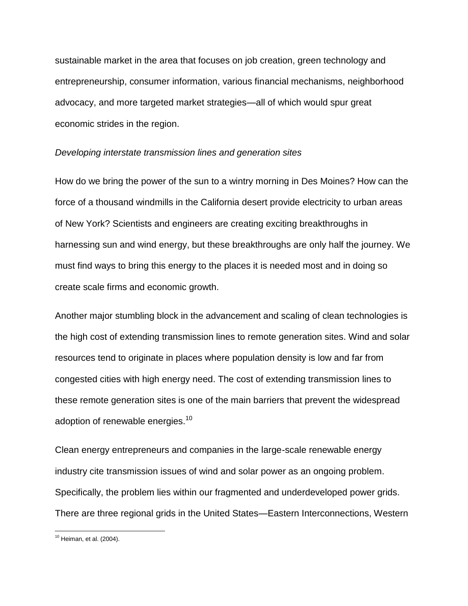sustainable market in the area that focuses on job creation, green technology and entrepreneurship, consumer information, various financial mechanisms, neighborhood advocacy, and more targeted market strategies—all of which would spur great economic strides in the region.

### *Developing interstate transmission lines and generation sites*

How do we bring the power of the sun to a wintry morning in Des Moines? How can the force of a thousand windmills in the California desert provide electricity to urban areas of New York? Scientists and engineers are creating exciting breakthroughs in harnessing sun and wind energy, but these breakthroughs are only half the journey. We must find ways to bring this energy to the places it is needed most and in doing so create scale firms and economic growth.

Another major stumbling block in the advancement and scaling of clean technologies is the high cost of extending transmission lines to remote generation sites. Wind and solar resources tend to originate in places where population density is low and far from congested cities with high energy need. The cost of extending transmission lines to these remote generation sites is one of the main barriers that prevent the widespread adoption of renewable energies.<sup>10</sup>

Clean energy entrepreneurs and companies in the large-scale renewable energy industry cite transmission issues of wind and solar power as an ongoing problem. Specifically, the problem lies within our fragmented and underdeveloped power grids. There are three regional grids in the United States—Eastern Interconnections, Western

<sup>&</sup>lt;sup>10</sup> Heiman, et al. (2004).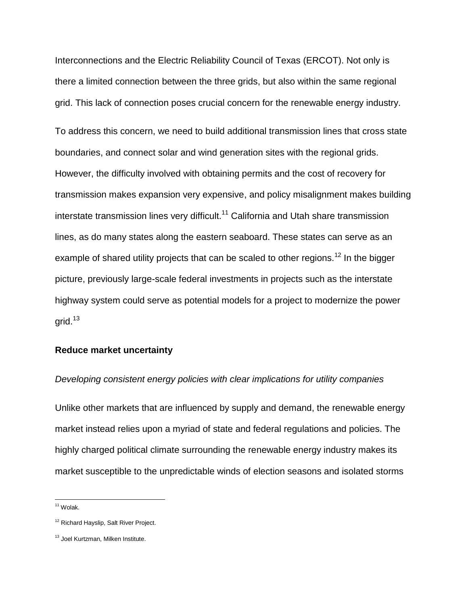Interconnections and the Electric Reliability Council of Texas (ERCOT). Not only is there a limited connection between the three grids, but also within the same regional grid. This lack of connection poses crucial concern for the renewable energy industry.

To address this concern, we need to build additional transmission lines that cross state boundaries, and connect solar and wind generation sites with the regional grids. However, the difficulty involved with obtaining permits and the cost of recovery for transmission makes expansion very expensive, and policy misalignment makes building interstate transmission lines very difficult.<sup>11</sup> California and Utah share transmission lines, as do many states along the eastern seaboard. These states can serve as an example of shared utility projects that can be scaled to other regions.<sup>12</sup> In the bigger picture, previously large-scale federal investments in projects such as the interstate highway system could serve as potential models for a project to modernize the power arid. $13$ 

### **Reduce market uncertainty**

### *Developing consistent energy policies with clear implications for utility companies*

Unlike other markets that are influenced by supply and demand, the renewable energy market instead relies upon a myriad of state and federal regulations and policies. The highly charged political climate surrounding the renewable energy industry makes its market susceptible to the unpredictable winds of election seasons and isolated storms

<sup>11</sup> Wolak.

<sup>&</sup>lt;sup>12</sup> Richard Hayslip, Salt River Project.

<sup>&</sup>lt;sup>13</sup> Joel Kurtzman, Milken Institute.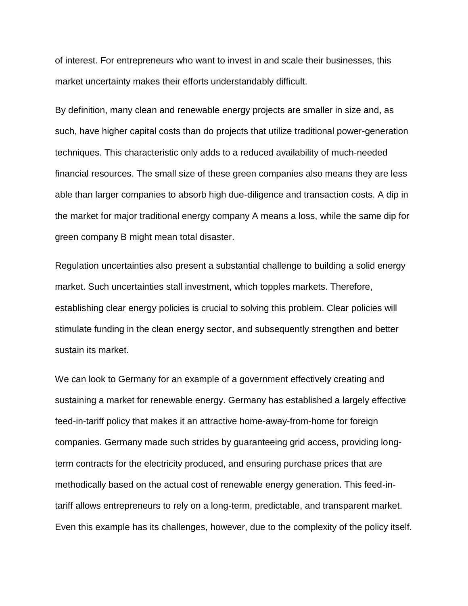of interest. For entrepreneurs who want to invest in and scale their businesses, this market uncertainty makes their efforts understandably difficult.

By definition, many clean and renewable energy projects are smaller in size and, as such, have higher capital costs than do projects that utilize traditional power-generation techniques. This characteristic only adds to a reduced availability of much-needed financial resources. The small size of these green companies also means they are less able than larger companies to absorb high due-diligence and transaction costs. A dip in the market for major traditional energy company A means a loss, while the same dip for green company B might mean total disaster.

Regulation uncertainties also present a substantial challenge to building a solid energy market. Such uncertainties stall investment, which topples markets. Therefore, establishing clear energy policies is crucial to solving this problem. Clear policies will stimulate funding in the clean energy sector, and subsequently strengthen and better sustain its market.

We can look to Germany for an example of a government effectively creating and sustaining a market for renewable energy. Germany has established a largely effective feed-in-tariff policy that makes it an attractive home-away-from-home for foreign companies. Germany made such strides by guaranteeing grid access, providing longterm contracts for the electricity produced, and ensuring purchase prices that are methodically based on the actual cost of renewable energy generation. This feed-intariff allows entrepreneurs to rely on a long-term, predictable, and transparent market. Even this example has its challenges, however, due to the complexity of the policy itself.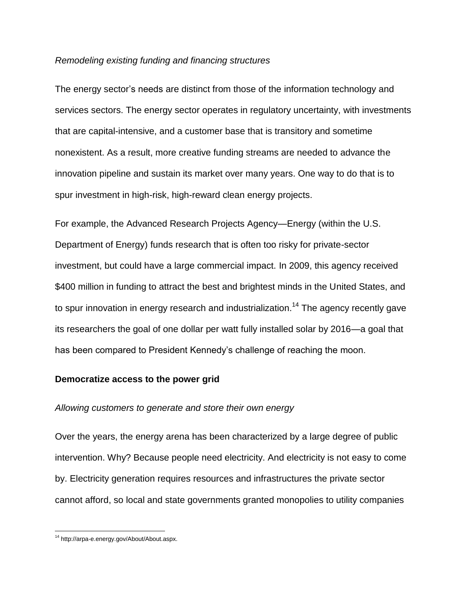#### *Remodeling existing funding and financing structures*

The energy sector's needs are distinct from those of the information technology and services sectors. The energy sector operates in regulatory uncertainty, with investments that are capital-intensive, and a customer base that is transitory and sometime nonexistent. As a result, more creative funding streams are needed to advance the innovation pipeline and sustain its market over many years. One way to do that is to spur investment in high-risk, high-reward clean energy projects.

For example, the Advanced Research Projects Agency—Energy (within the U.S. Department of Energy) funds research that is often too risky for private-sector investment, but could have a large commercial impact. In 2009, this agency received \$400 million in funding to attract the best and brightest minds in the United States, and to spur innovation in energy research and industrialization.<sup>14</sup> The agency recently gave its researchers the goal of one dollar per watt fully installed solar by 2016—a goal that has been compared to President Kennedy's challenge of reaching the moon.

### **Democratize access to the power grid**

### *Allowing customers to generate and store their own energy*

Over the years, the energy arena has been characterized by a large degree of public intervention. Why? Because people need electricity. And electricity is not easy to come by. Electricity generation requires resources and infrastructures the private sector cannot afford, so local and state governments granted monopolies to utility companies

 $\overline{\phantom{a}}$ <sup>14</sup> http://arpa-e.energy.gov/About/About.aspx.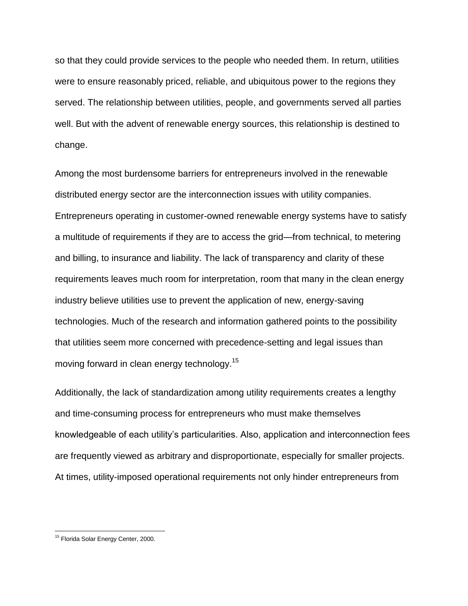so that they could provide services to the people who needed them. In return, utilities were to ensure reasonably priced, reliable, and ubiquitous power to the regions they served. The relationship between utilities, people, and governments served all parties well. But with the advent of renewable energy sources, this relationship is destined to change.

Among the most burdensome barriers for entrepreneurs involved in the renewable distributed energy sector are the interconnection issues with utility companies. Entrepreneurs operating in customer-owned renewable energy systems have to satisfy a multitude of requirements if they are to access the grid—from technical, to metering and billing, to insurance and liability. The lack of transparency and clarity of these requirements leaves much room for interpretation, room that many in the clean energy industry believe utilities use to prevent the application of new, energy-saving technologies. Much of the research and information gathered points to the possibility that utilities seem more concerned with precedence-setting and legal issues than moving forward in clean energy technology.<sup>15</sup>

Additionally, the lack of standardization among utility requirements creates a lengthy and time-consuming process for entrepreneurs who must make themselves knowledgeable of each utility's particularities. Also, application and interconnection fees are frequently viewed as arbitrary and disproportionate, especially for smaller projects. At times, utility-imposed operational requirements not only hinder entrepreneurs from

<sup>&</sup>lt;sup>15</sup> Florida Solar Energy Center, 2000.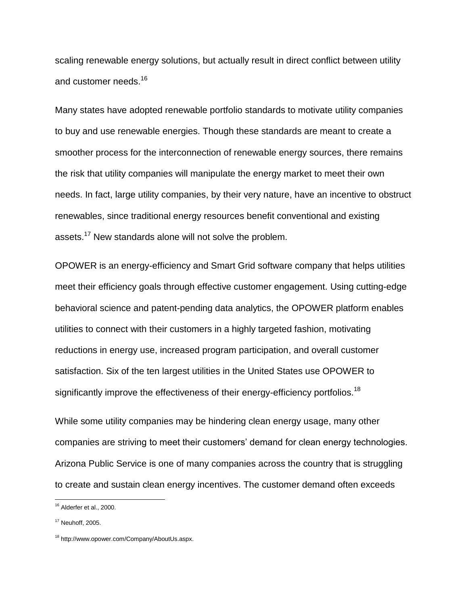scaling renewable energy solutions, but actually result in direct conflict between utility and customer needs.<sup>16</sup>

Many states have adopted renewable portfolio standards to motivate utility companies to buy and use renewable energies. Though these standards are meant to create a smoother process for the interconnection of renewable energy sources, there remains the risk that utility companies will manipulate the energy market to meet their own needs. In fact, large utility companies, by their very nature, have an incentive to obstruct renewables, since traditional energy resources benefit conventional and existing assets.<sup>17</sup> New standards alone will not solve the problem.

OPOWER is an energy-efficiency and Smart Grid software company that helps utilities meet their efficiency goals through effective customer engagement. Using cutting-edge behavioral science and patent-pending data analytics, the OPOWER platform enables utilities to connect with their customers in a highly targeted fashion, motivating reductions in energy use, increased program participation, and overall customer satisfaction. Six of the ten largest utilities in the United States use OPOWER to significantly improve the effectiveness of their energy-efficiency portfolios.<sup>18</sup>

While some utility companies may be hindering clean energy usage, many other companies are striving to meet their customers' demand for clean energy technologies. Arizona Public Service is one of many companies across the country that is struggling to create and sustain clean energy incentives. The customer demand often exceeds

 $16$  Alderfer et al., 2000.

<sup>17</sup> Neuhoff, 2005.

<sup>18</sup> http://www.opower.com/Company/AboutUs.aspx.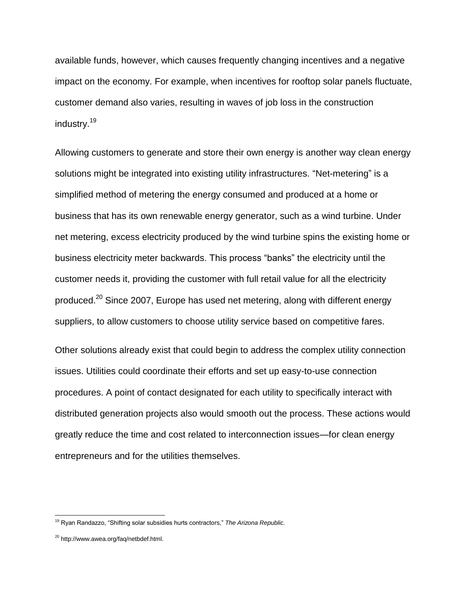available funds, however, which causes frequently changing incentives and a negative impact on the economy. For example, when incentives for rooftop solar panels fluctuate, customer demand also varies, resulting in waves of job loss in the construction industry.<sup>19</sup>

Allowing customers to generate and store their own energy is another way clean energy solutions might be integrated into existing utility infrastructures. "Net-metering" is a simplified method of metering the energy consumed and produced at a home or business that has its own renewable energy generator, such as a wind turbine. Under net metering, excess electricity produced by the wind turbine spins the existing home or business electricity meter backwards. This process "banks" the electricity until the customer needs it, providing the customer with full retail value for all the electricity produced.<sup>20</sup> Since 2007, Europe has used net metering, along with different energy suppliers, to allow customers to choose utility service based on competitive fares.

Other solutions already exist that could begin to address the complex utility connection issues. Utilities could coordinate their efforts and set up easy-to-use connection procedures. A point of contact designated for each utility to specifically interact with distributed generation projects also would smooth out the process. These actions would greatly reduce the time and cost related to interconnection issues—for clean energy entrepreneurs and for the utilities themselves.

<sup>&</sup>lt;sup>19</sup> Ryan Randazzo, "Shifting solar subsidies hurts contractors," The Arizona Republic.

<sup>&</sup>lt;sup>20</sup> http://www.awea.org/faq/netbdef.html.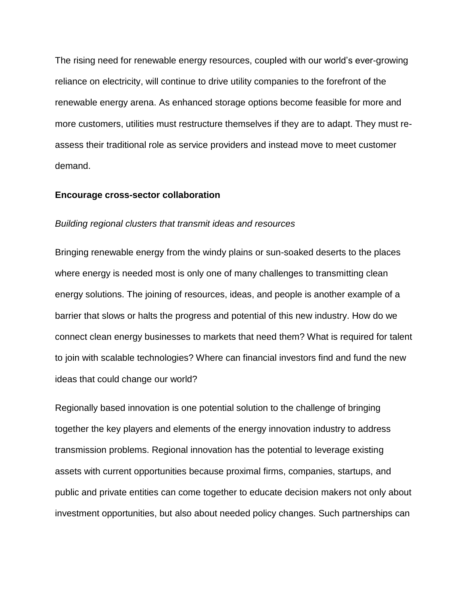The rising need for renewable energy resources, coupled with our world's ever-growing reliance on electricity, will continue to drive utility companies to the forefront of the renewable energy arena. As enhanced storage options become feasible for more and more customers, utilities must restructure themselves if they are to adapt. They must reassess their traditional role as service providers and instead move to meet customer demand.

#### **Encourage cross-sector collaboration**

#### *Building regional clusters that transmit ideas and resources*

Bringing renewable energy from the windy plains or sun-soaked deserts to the places where energy is needed most is only one of many challenges to transmitting clean energy solutions. The joining of resources, ideas, and people is another example of a barrier that slows or halts the progress and potential of this new industry. How do we connect clean energy businesses to markets that need them? What is required for talent to join with scalable technologies? Where can financial investors find and fund the new ideas that could change our world?

Regionally based innovation is one potential solution to the challenge of bringing together the key players and elements of the energy innovation industry to address transmission problems. Regional innovation has the potential to leverage existing assets with current opportunities because proximal firms, companies, startups, and public and private entities can come together to educate decision makers not only about investment opportunities, but also about needed policy changes. Such partnerships can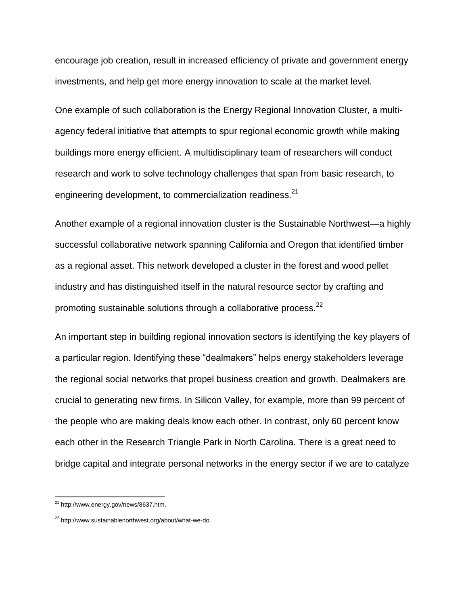encourage job creation, result in increased efficiency of private and government energy investments, and help get more energy innovation to scale at the market level.

One example of such collaboration is the Energy Regional Innovation Cluster, a multiagency federal initiative that attempts to spur regional economic growth while making buildings more energy efficient. A multidisciplinary team of researchers will conduct research and work to solve technology challenges that span from basic research, to engineering development, to commercialization readiness. $^{21}$ 

Another example of a regional innovation cluster is the Sustainable Northwest—a highly successful collaborative network spanning California and Oregon that identified timber as a regional asset. This network developed a cluster in the forest and wood pellet industry and has distinguished itself in the natural resource sector by crafting and promoting sustainable solutions through a collaborative process.<sup>22</sup>

An important step in building regional innovation sectors is identifying the key players of a particular region. Identifying these "dealmakers" helps energy stakeholders leverage the regional social networks that propel business creation and growth. Dealmakers are crucial to generating new firms. In Silicon Valley, for example, more than 99 percent of the people who are making deals know each other. In contrast, only 60 percent know each other in the Research Triangle Park in North Carolina. There is a great need to bridge capital and integrate personal networks in the energy sector if we are to catalyze

<sup>&</sup>lt;sup>21</sup> http://www.energy.gov/news/8637.htm.

<sup>&</sup>lt;sup>22</sup> http://www.sustainablenorthwest.org/about/what-we-do.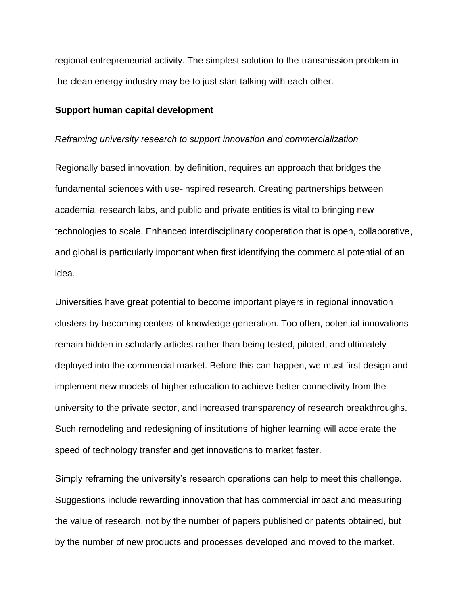regional entrepreneurial activity. The simplest solution to the transmission problem in the clean energy industry may be to just start talking with each other.

#### **Support human capital development**

#### *Reframing university research to support innovation and commercialization*

Regionally based innovation, by definition, requires an approach that bridges the fundamental sciences with use-inspired research. Creating partnerships between academia, research labs, and public and private entities is vital to bringing new technologies to scale. Enhanced interdisciplinary cooperation that is open, collaborative, and global is particularly important when first identifying the commercial potential of an idea.

Universities have great potential to become important players in regional innovation clusters by becoming centers of knowledge generation. Too often, potential innovations remain hidden in scholarly articles rather than being tested, piloted, and ultimately deployed into the commercial market. Before this can happen, we must first design and implement new models of higher education to achieve better connectivity from the university to the private sector, and increased transparency of research breakthroughs. Such remodeling and redesigning of institutions of higher learning will accelerate the speed of technology transfer and get innovations to market faster.

Simply reframing the university's research operations can help to meet this challenge. Suggestions include rewarding innovation that has commercial impact and measuring the value of research, not by the number of papers published or patents obtained, but by the number of new products and processes developed and moved to the market.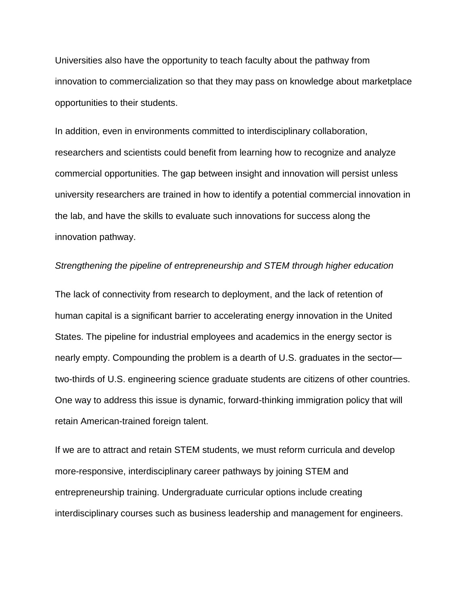Universities also have the opportunity to teach faculty about the pathway from innovation to commercialization so that they may pass on knowledge about marketplace opportunities to their students.

In addition, even in environments committed to interdisciplinary collaboration, researchers and scientists could benefit from learning how to recognize and analyze commercial opportunities. The gap between insight and innovation will persist unless university researchers are trained in how to identify a potential commercial innovation in the lab, and have the skills to evaluate such innovations for success along the innovation pathway.

### *Strengthening the pipeline of entrepreneurship and STEM through higher education*

The lack of connectivity from research to deployment, and the lack of retention of human capital is a significant barrier to accelerating energy innovation in the United States. The pipeline for industrial employees and academics in the energy sector is nearly empty. Compounding the problem is a dearth of U.S. graduates in the sector two-thirds of U.S. engineering science graduate students are citizens of other countries. One way to address this issue is dynamic, forward-thinking immigration policy that will retain American-trained foreign talent.

If we are to attract and retain STEM students, we must reform curricula and develop more-responsive, interdisciplinary career pathways by joining STEM and entrepreneurship training. Undergraduate curricular options include creating interdisciplinary courses such as business leadership and management for engineers.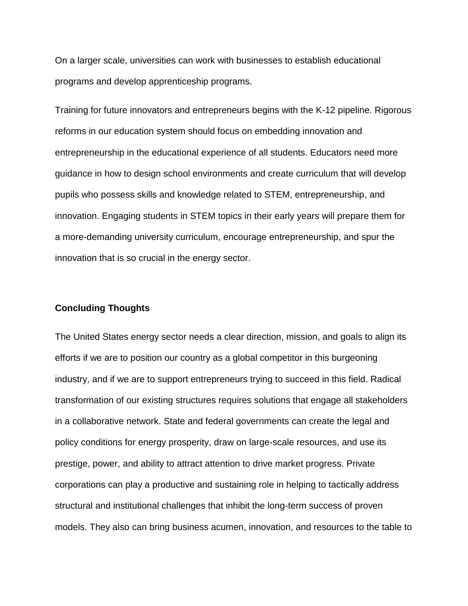On a larger scale, universities can work with businesses to establish educational programs and develop apprenticeship programs.

Training for future innovators and entrepreneurs begins with the K-12 pipeline. Rigorous reforms in our education system should focus on embedding innovation and entrepreneurship in the educational experience of all students. Educators need more guidance in how to design school environments and create curriculum that will develop pupils who possess skills and knowledge related to STEM, entrepreneurship, and innovation. Engaging students in STEM topics in their early years will prepare them for a more-demanding university curriculum, encourage entrepreneurship, and spur the innovation that is so crucial in the energy sector.

#### **Concluding Thoughts**

The United States energy sector needs a clear direction, mission, and goals to align its efforts if we are to position our country as a global competitor in this burgeoning industry, and if we are to support entrepreneurs trying to succeed in this field. Radical transformation of our existing structures requires solutions that engage all stakeholders in a collaborative network. State and federal governments can create the legal and policy conditions for energy prosperity, draw on large-scale resources, and use its prestige, power, and ability to attract attention to drive market progress. Private corporations can play a productive and sustaining role in helping to tactically address structural and institutional challenges that inhibit the long-term success of proven models. They also can bring business acumen, innovation, and resources to the table to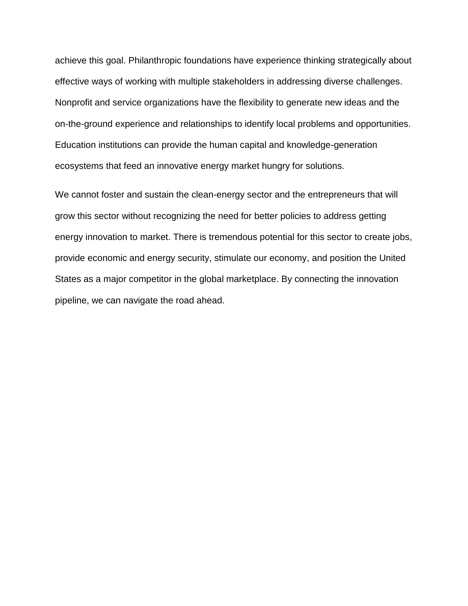achieve this goal. Philanthropic foundations have experience thinking strategically about effective ways of working with multiple stakeholders in addressing diverse challenges. Nonprofit and service organizations have the flexibility to generate new ideas and the on-the-ground experience and relationships to identify local problems and opportunities. Education institutions can provide the human capital and knowledge-generation ecosystems that feed an innovative energy market hungry for solutions.

We cannot foster and sustain the clean-energy sector and the entrepreneurs that will grow this sector without recognizing the need for better policies to address getting energy innovation to market. There is tremendous potential for this sector to create jobs, provide economic and energy security, stimulate our economy, and position the United States as a major competitor in the global marketplace. By connecting the innovation pipeline, we can navigate the road ahead.